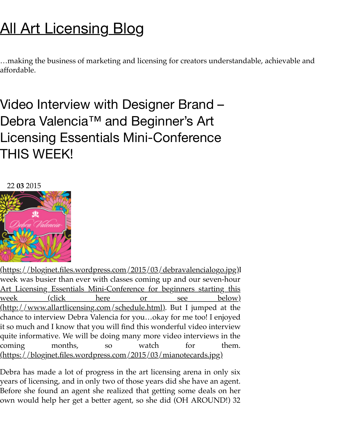$\ldots$ making the business of marketing and licensing for creators understandable, achieva affordable.

Video Interview with Designer Brand – Debra Valencia<sup>™</sup> and Beginner's Art Licensing Essentials Mini-Conference THIS WEEK!

22 **03** 2015



(https://blogjnet.files.wordpress.com/2015/03/debravalencialogo.jpg)I week was busier than ever with classes coming up and our seven-hour Art Licensing Essentials Mini-Conference for beginners starting this <u>week (click here or see below)</u> (http://www.allartlicensing.com/schedule.html). But I jumped at the chance to interview Debra Valencia for you…okay for me too! I enjoyed it so much and I know that you will find this wonderful video interview quite informative. We will be doing many more video interviews in the coming months, so watch for them. [\(https://blogjnet.files.wordpress.com/2015/03/mianotecards.jpg\)](http://www.allartlicensing.com/schedule.html)

Debra has made a lot of progress in the art licensing arena in only six years of licensing, and in only two of those years did she have an agent. Before she found an agent she realized that getting some deals on her own would help her get a better agent, so she did (OH AROUND!) 32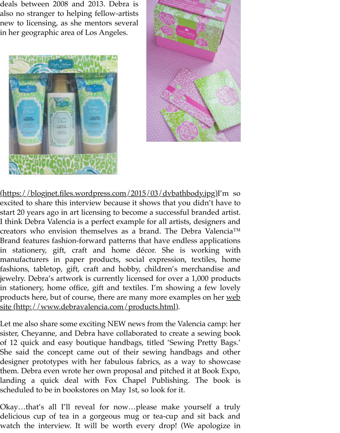



(https://blogjnet.files.wordpress.com/2015/03/dvbathbody.jpg)I'm so [excited to share this interview because it shows that you didn't h](https://blogjnet.files.wordpress.com/2015/03/dvbathbody.jpg)ave to start 20 years ago in art licensing to become a successful branded artist. I think Debra Valencia is a perfect example for all artists, designers and creators who envision themselves as a brand. The Debra Valencia<sup>™</sup> Brand features fashion-forward patterns that have endless applications in stationery, gift, craft and home décor. She is working with manufacturers in paper products, social expression, textiles, home fashions, tabletop, gift, craft and hobby, children's merchandise and jewelry. Debra's artwork is currently licensed for over a 1,000 products in stationery, home office, gift and textiles. I'm showing a few lovely products here, but of course, there are many more examples on her web site (http://www.debravalencia.com/products.html).

Let me also share some exciting NEW news from the Valencia camp: her sister, Cheyanne, and Debra have collaborated to create a sewing book of 12 quick and easy boutique handbags, titled 'Sewing Pretty Bags.' She said the concept came out of their sewing handbags and other [designer prototypes with her fabulous fabrics, as a way to showcase](http://www.debravalencia.com/products.html) them. Debra even wrote her own proposal and pitched it at Book Expo, landing a quick deal with Fox Chapel Publishing. The book is scheduled to be in bookstores on May 1st, so look for it.

Okay…that's all I'll reveal for now…please make yourself a truly delicious cup of tea in a gorgeous mug or tea-cup and sit back and watch the interview. It will be worth every drop! (We apologize in